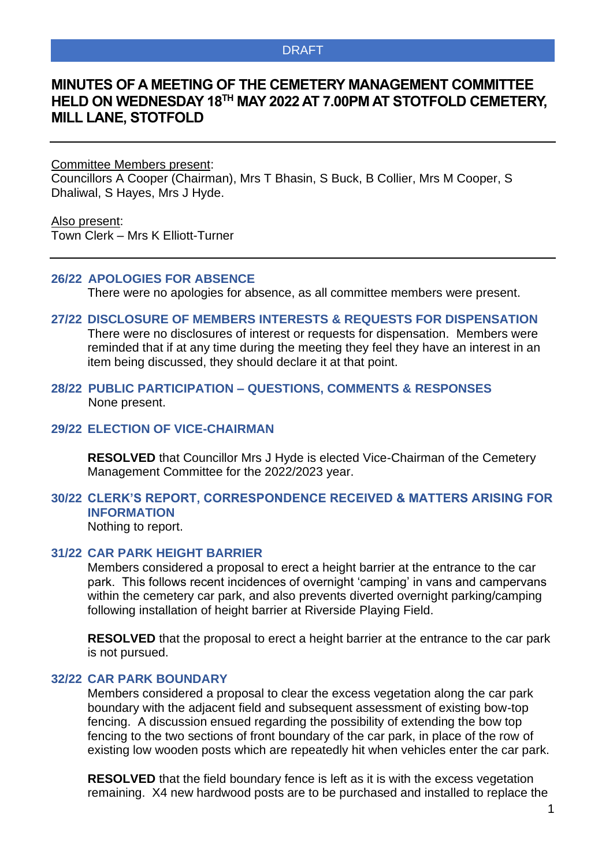## DRAFT

# **MINUTES OF A MEETING OF THE CEMETERY MANAGEMENT COMMITTEE HELD ON WEDNESDAY 18TH MAY 2022 AT 7.00PM AT STOTFOLD CEMETERY, MILL LANE, STOTFOLD**

Committee Members present:

Councillors A Cooper (Chairman), Mrs T Bhasin, S Buck, B Collier, Mrs M Cooper, S Dhaliwal, S Hayes, Mrs J Hyde.

Also present:

Town Clerk – Mrs K Elliott-Turner

#### **26/22 APOLOGIES FOR ABSENCE**

There were no apologies for absence, as all committee members were present.

#### **27/22 DISCLOSURE OF MEMBERS INTERESTS & REQUESTS FOR DISPENSATION**

There were no disclosures of interest or requests for dispensation. Members were reminded that if at any time during the meeting they feel they have an interest in an item being discussed, they should declare it at that point.

## **28/22 PUBLIC PARTICIPATION – QUESTIONS, COMMENTS & RESPONSES** None present.

### **29/22 ELECTION OF VICE-CHAIRMAN**

**RESOLVED** that Councillor Mrs J Hyde is elected Vice-Chairman of the Cemetery Management Committee for the 2022/2023 year.

# **30/22 CLERK'S REPORT, CORRESPONDENCE RECEIVED & MATTERS ARISING FOR INFORMATION**

Nothing to report.

## **31/22 CAR PARK HEIGHT BARRIER**

Members considered a proposal to erect a height barrier at the entrance to the car park. This follows recent incidences of overnight 'camping' in vans and campervans within the cemetery car park, and also prevents diverted overnight parking/camping following installation of height barrier at Riverside Playing Field.

**RESOLVED** that the proposal to erect a height barrier at the entrance to the car park is not pursued.

#### **32/22 CAR PARK BOUNDARY**

Members considered a proposal to clear the excess vegetation along the car park boundary with the adjacent field and subsequent assessment of existing bow-top fencing. A discussion ensued regarding the possibility of extending the bow top fencing to the two sections of front boundary of the car park, in place of the row of existing low wooden posts which are repeatedly hit when vehicles enter the car park.

**RESOLVED** that the field boundary fence is left as it is with the excess vegetation remaining. X4 new hardwood posts are to be purchased and installed to replace the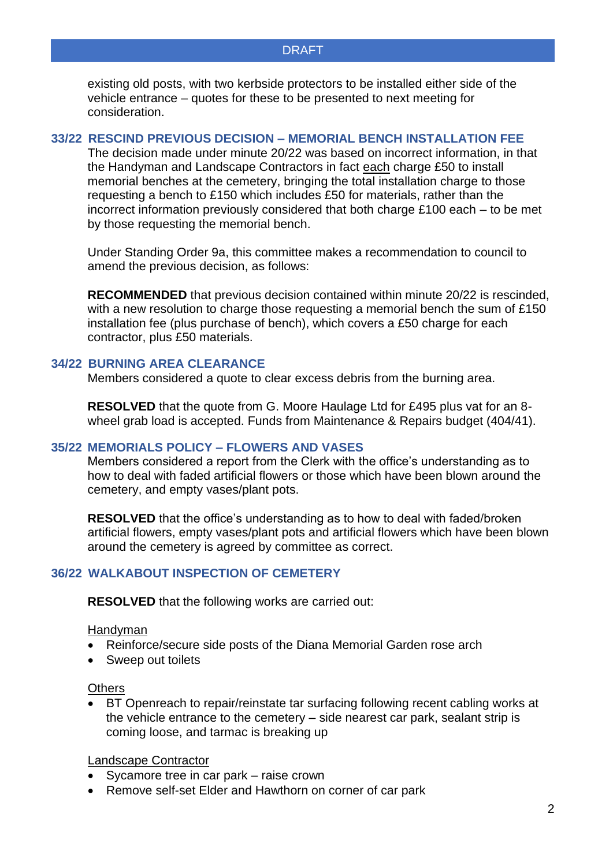existing old posts, with two kerbside protectors to be installed either side of the vehicle entrance – quotes for these to be presented to next meeting for consideration.

### **33/22 RESCIND PREVIOUS DECISION – MEMORIAL BENCH INSTALLATION FEE**

The decision made under minute 20/22 was based on incorrect information, in that the Handyman and Landscape Contractors in fact each charge £50 to install memorial benches at the cemetery, bringing the total installation charge to those requesting a bench to £150 which includes £50 for materials, rather than the incorrect information previously considered that both charge £100 each – to be met by those requesting the memorial bench.

Under Standing Order 9a, this committee makes a recommendation to council to amend the previous decision, as follows:

**RECOMMENDED** that previous decision contained within minute 20/22 is rescinded, with a new resolution to charge those requesting a memorial bench the sum of £150 installation fee (plus purchase of bench), which covers a £50 charge for each contractor, plus £50 materials.

## **34/22 BURNING AREA CLEARANCE**

Members considered a quote to clear excess debris from the burning area.

**RESOLVED** that the quote from G. Moore Haulage Ltd for £495 plus vat for an 8 wheel grab load is accepted. Funds from Maintenance & Repairs budget (404/41).

#### **35/22 MEMORIALS POLICY – FLOWERS AND VASES**

Members considered a report from the Clerk with the office's understanding as to how to deal with faded artificial flowers or those which have been blown around the cemetery, and empty vases/plant pots.

**RESOLVED** that the office's understanding as to how to deal with faded/broken artificial flowers, empty vases/plant pots and artificial flowers which have been blown around the cemetery is agreed by committee as correct.

# **36/22 WALKABOUT INSPECTION OF CEMETERY**

**RESOLVED** that the following works are carried out:

#### **Handyman**

- Reinforce/secure side posts of the Diana Memorial Garden rose arch
- Sweep out toilets

#### **Others**

• BT Openreach to repair/reinstate tar surfacing following recent cabling works at the vehicle entrance to the cemetery – side nearest car park, sealant strip is coming loose, and tarmac is breaking up

### Landscape Contractor

- Sycamore tree in car park raise crown
- Remove self-set Elder and Hawthorn on corner of car park